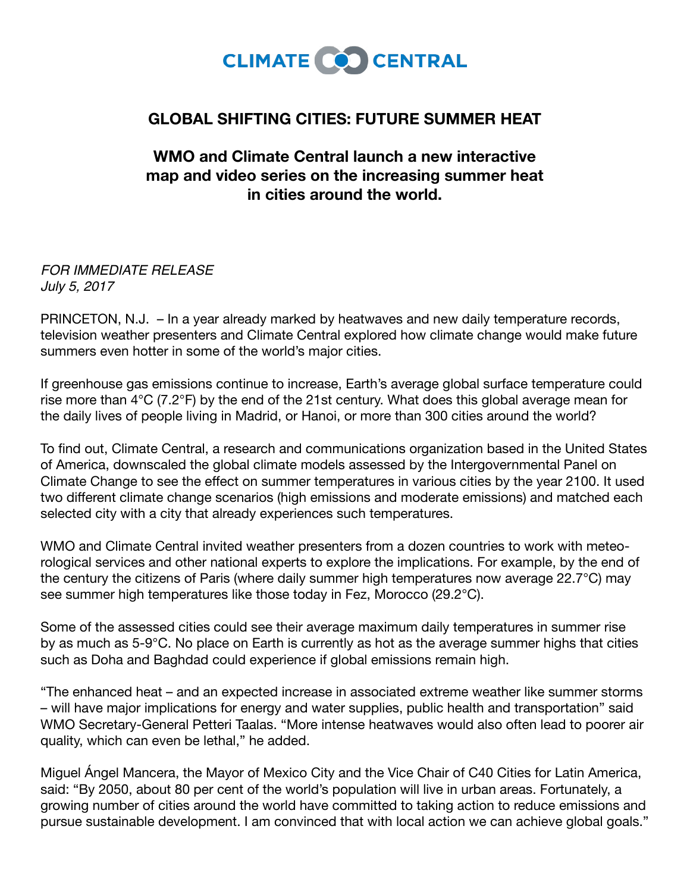

## **GLOBAL SHIFTING CITIES: FUTURE SUMMER HEAT**

## **WMO and Climate Central launch a new interactive map and video series on the increasing summer heat in cities around the world.**

*FOR IMMEDIATE RELEASE July 5, 2017*

PRINCETON, N.J. – In a year already marked by heatwaves and new daily temperature records, television weather presenters and Climate Central explored how climate change would make future summers even hotter in some of the world's major cities.

If greenhouse gas emissions continue to increase, Earth's average global surface temperature could rise more than 4°C (7.2°F) by the end of the 21st century. What does this global average mean for the daily lives of people living in Madrid, or Hanoi, or more than 300 cities around the world?

To find out, Climate Central, a research and communications organization based in the United States of America, downscaled the global climate models assessed by the Intergovernmental Panel on Climate Change to see the effect on summer temperatures in various cities by the year 2100. It used two different climate change scenarios (high emissions and moderate emissions) and matched each selected city with a city that already experiences such temperatures.

WMO and Climate Central invited weather presenters from a dozen countries to work with meteorological services and other national experts to explore the implications. For example, by the end of the century the citizens of Paris (where daily summer high temperatures now average 22.7°C) may see summer high temperatures like those today in Fez, Morocco (29.2°C).

Some of the assessed cities could see their average maximum daily temperatures in summer rise by as much as 5-9°C. No place on Earth is currently as hot as the average summer highs that cities such as Doha and Baghdad could experience if global emissions remain high.

"The enhanced heat – and an expected increase in associated extreme weather like summer storms – will have major implications for energy and water supplies, public health and transportation" said WMO Secretary-General Petteri Taalas. "More intense heatwaves would also often lead to poorer air quality, which can even be lethal," he added.

Miguel Ángel Mancera, the Mayor of Mexico City and the Vice Chair of C40 Cities for Latin America, said: "By 2050, about 80 per cent of the world's population will live in urban areas. Fortunately, a growing number of cities around the world have committed to taking action to reduce emissions and pursue sustainable development. I am convinced that with local action we can achieve global goals."